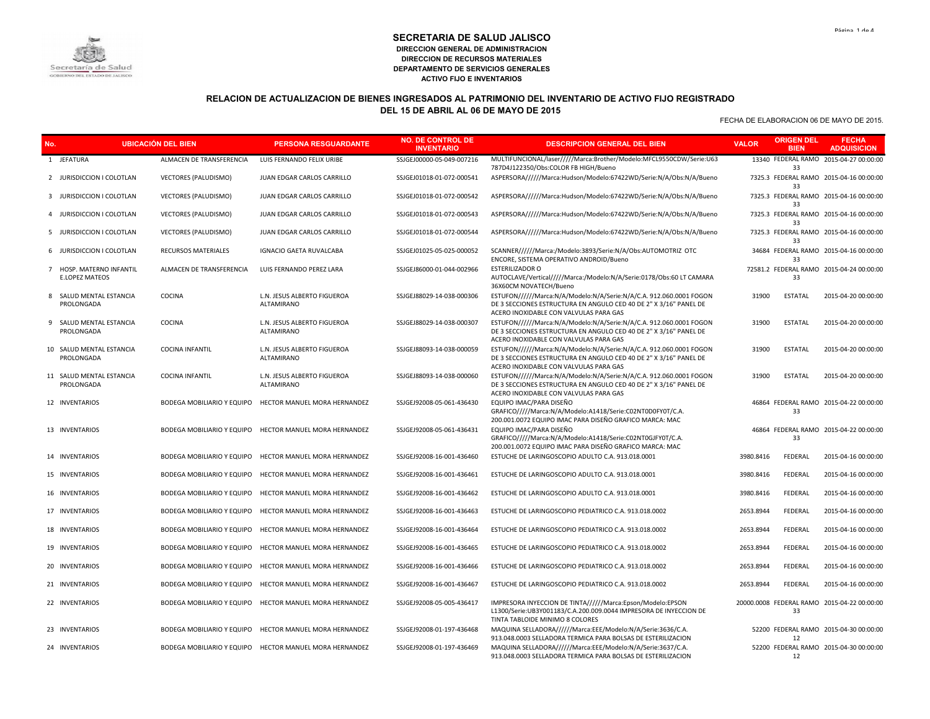

## **RELACION DE ACTUALIZACION DE BIENES INGRESADOS AL PATRIMONIO DEL INVENTARIO DE ACTIVO FIJO REGISTRADO DEL 15 DE ABRIL AL 06 DE MAYO DE 2015**

| No. |                                                   | <b>UBICACIÓN DEL BIEN</b>   | <b>PERSONA RESGUARDANTE</b>                             | <b>NO. DE CONTROL DE</b><br><b>INVENTARIO</b> | <b>DESCRIPCION GENERAL DEL BIEN</b>                                                                                                                                                | <b>VALOR</b> | <b>ORIGEN DEL</b><br><b>BIEN</b> | <b>FECHA</b><br><b>ADQUISICION</b>          |
|-----|---------------------------------------------------|-----------------------------|---------------------------------------------------------|-----------------------------------------------|------------------------------------------------------------------------------------------------------------------------------------------------------------------------------------|--------------|----------------------------------|---------------------------------------------|
|     | 1 JEFATURA                                        | ALMACEN DE TRANSFERENCIA    | LUIS FERNANDO FELIX URIBE                               | SSJGEJ00000-05-049-007216                     | MULTIFUNCIONAL/laser/////Marca:Brother/Modelo:MFCL9550CDW/Serie:U63<br>787D4J122350/Obs:COLOR FB HIGH/Bueno                                                                        |              | 33                               | 13340 FEDERAL RAMO 2015-04-27 00:00:00      |
|     | 2 JURISDICCION I COLOTLAN                         | <b>VECTORES (PALUDISMO)</b> | JUAN EDGAR CARLOS CARRILLO                              | SSJGEJ01018-01-072-000541                     | ASPERSORA//////Marca:Hudson/Modelo:67422WD/Serie:N/A/Obs:N/A/Bueno                                                                                                                 |              | 33                               | 7325.3 FEDERAL RAMO 2015-04-16 00:00:00     |
|     | 3 JURISDICCION I COLOTLAN                         | <b>VECTORES (PALUDISMO)</b> | JUAN EDGAR CARLOS CARRILLO                              | SSJGEJ01018-01-072-000542                     | ASPERSORA//////Marca:Hudson/Modelo:67422WD/Serie:N/A/Obs:N/A/Bueno                                                                                                                 |              | 33                               | 7325.3 FEDERAL RAMO 2015-04-16 00:00:00     |
|     | 4 JURISDICCION I COLOTLAN                         | <b>VECTORES (PALUDISMO)</b> | JUAN EDGAR CARLOS CARRILLO                              | SSJGEJ01018-01-072-000543                     | ASPERSORA//////Marca:Hudson/Modelo:67422WD/Serie:N/A/Obs:N/A/Bueno                                                                                                                 |              | 33                               | 7325.3 FEDERAL RAMO 2015-04-16 00:00:00     |
|     | 5 JURISDICCION I COLOTLAN                         | VECTORES (PALUDISMO)        | JUAN EDGAR CARLOS CARRILLO                              | SSJGEJ01018-01-072-000544                     | ASPERSORA//////Marca:Hudson/Modelo:67422WD/Serie:N/A/Obs:N/A/Bueno                                                                                                                 |              | 33                               | 7325.3 FEDERAL RAMO 2015-04-16 00:00:00     |
|     | 6 JURISDICCION I COLOTLAN                         | RECURSOS MATERIALES         | <b>IGNACIO GAETA RUVALCABA</b>                          | SSJGEJ01025-05-025-000052                     | SCANNER//////Marca:/Modelo:3893/Serie:N/A/Obs:AUTOMOTRIZ OTC<br>ENCORE, SISTEMA OPERATIVO ANDROID/Bueno                                                                            |              | 33                               | 34684 FEDERAL RAMO 2015-04-16 00:00:00      |
|     | 7 HOSP. MATERNO INFANTIL<br><b>E.LOPEZ MATEOS</b> | ALMACEN DE TRANSFERENCIA    | LUIS FERNANDO PEREZ LARA                                | SSJGEJ86000-01-044-002966                     | <b>ESTERILIZADOR O</b><br>AUTOCLAVE/Vertical/////Marca:/Modelo:N/A/Serie:0178/Obs:60 LT CAMARA<br>36X60CM NOVATECH/Bueno                                                           |              | 33                               | 72581.2 FEDERAL RAMO 2015-04-24 00:00:00    |
|     | 8 SALUD MENTAL ESTANCIA<br>PROLONGADA             | <b>COCINA</b>               | L.N. JESUS ALBERTO FIGUEROA<br><b>ALTAMIRANO</b>        | SSJGEJ88029-14-038-000306                     | ESTUFON//////Marca:N/A/Modelo:N/A/Serie:N/A/C.A. 912.060.0001 FOGON<br>DE 3 SECCIONES ESTRUCTURA EN ANGULO CED 40 DE 2" X 3/16" PANEL DE<br>ACERO INOXIDABLE CON VALVULAS PARA GAS | 31900        | <b>ESTATAL</b>                   | 2015-04-20 00:00:00                         |
|     | 9 SALUD MENTAL ESTANCIA<br>PROLONGADA             | COCINA                      | L.N. JESUS ALBERTO FIGUEROA<br>ALTAMIRANO               | SSJGEJ88029-14-038-000307                     | ESTUFON/////Marca:N/A/Modelo:N/A/Serie:N/A/C.A. 912.060.0001 FOGON<br>DE 3 SECCIONES ESTRUCTURA EN ANGULO CED 40 DE 2" X 3/16" PANEL DE<br>ACERO INOXIDABLE CON VALVULAS PARA GAS  | 31900        | <b>ESTATAL</b>                   | 2015-04-20 00:00:00                         |
|     | 10 SALUD MENTAL ESTANCIA<br>PROLONGADA            | <b>COCINA INFANTIL</b>      | L.N. JESUS ALBERTO FIGUEROA<br>ALTAMIRANO               | SSJGEJ88093-14-038-000059                     | ESTUFON//////Marca:N/A/Modelo:N/A/Serie:N/A/C.A. 912.060.0001 FOGON<br>DE 3 SECCIONES ESTRUCTURA EN ANGULO CED 40 DE 2" X 3/16" PANEL DE<br>ACERO INOXIDABLE CON VALVULAS PARA GAS | 31900        | <b>ESTATAL</b>                   | 2015-04-20 00:00:00                         |
|     | 11 SALUD MENTAL ESTANCIA<br>PROLONGADA            | <b>COCINA INFANTIL</b>      | L.N. JESUS ALBERTO FIGUEROA<br>ALTAMIRANO               | SSJGEJ88093-14-038-000060                     | ESTUFON//////Marca:N/A/Modelo:N/A/Serie:N/A/C.A. 912.060.0001 FOGON<br>DE 3 SECCIONES ESTRUCTURA EN ANGULO CED 40 DE 2" X 3/16" PANEL DE<br>ACERO INOXIDABLE CON VALVULAS PARA GAS | 31900        | <b>ESTATAL</b>                   | 2015-04-20 00:00:00                         |
|     | 12 INVENTARIOS                                    | BODEGA MOBILIARIO Y EQUIPO  | HECTOR MANUEL MORA HERNANDEZ                            | SSJGEJ92008-05-061-436430                     | EQUIPO IMAC/PARA DISEÑO<br>GRAFICO/////Marca:N/A/Modelo:A1418/Serie:C02NT0D0FY0T/C.A.<br>200.001.0072 EQUIPO IMAC PARA DISEÑO GRAFICO MARCA: MAC                                   |              | 33                               | 46864 FEDERAL RAMO 2015-04-22 00:00:00      |
|     | 13 INVENTARIOS                                    | BODEGA MOBILIARIO Y EQUIPO  | HECTOR MANUEL MORA HERNANDEZ                            | SSJGEJ92008-05-061-436431                     | EQUIPO IMAC/PARA DISEÑO<br>GRAFICO/////Marca:N/A/Modelo:A1418/Serie:C02NT0GJFY0T/C.A.<br>200.001.0072 EQUIPO IMAC PARA DISEÑO GRAFICO MARCA: MAC                                   |              | 33                               | 46864 FEDERAL RAMO 2015-04-22 00:00:00      |
|     | 14 INVENTARIOS                                    | BODEGA MOBILIARIO Y EQUIPO  | HECTOR MANUEL MORA HERNANDEZ                            | SSJGEJ92008-16-001-436460                     | ESTUCHE DE LARINGOSCOPIO ADULTO C.A. 913.018.0001                                                                                                                                  | 3980.8416    | FEDERAL                          | 2015-04-16 00:00:00                         |
|     | 15 INVENTARIOS                                    | BODEGA MOBILIARIO Y EQUIPO  | HECTOR MANUEL MORA HERNANDEZ                            | SSJGEJ92008-16-001-436461                     | ESTUCHE DE LARINGOSCOPIO ADULTO C.A. 913.018.0001                                                                                                                                  | 3980.8416    | FEDERAL                          | 2015-04-16 00:00:00                         |
|     | 16 INVENTARIOS                                    | BODEGA MOBILIARIO Y EQUIPO  | HECTOR MANUEL MORA HERNANDEZ                            | SSJGEJ92008-16-001-436462                     | ESTUCHE DE LARINGOSCOPIO ADULTO C.A. 913.018.0001                                                                                                                                  | 3980.8416    | FEDERAL                          | 2015-04-16 00:00:00                         |
|     | 17 INVENTARIOS                                    | BODEGA MOBILIARIO Y EQUIPO  | HECTOR MANUEL MORA HERNANDEZ                            | SSJGEJ92008-16-001-436463                     | ESTUCHE DE LARINGOSCOPIO PEDIATRICO C.A. 913.018.0002                                                                                                                              | 2653.8944    | FEDERAL                          | 2015-04-16 00:00:00                         |
|     | 18 INVENTARIOS                                    |                             | BODEGA MOBILIARIO Y EQUIPO HECTOR MANUEL MORA HERNANDEZ | SSJGEJ92008-16-001-436464                     | ESTUCHE DE LARINGOSCOPIO PEDIATRICO C.A. 913.018.0002                                                                                                                              | 2653.8944    | FEDERAL                          | 2015-04-16 00:00:00                         |
|     | 19 INVENTARIOS                                    | BODEGA MOBILIARIO Y EQUIPO  | <b>HECTOR MANUEL MORA HERNANDEZ</b>                     | SSJGEJ92008-16-001-436465                     | ESTUCHE DE LARINGOSCOPIO PEDIATRICO C.A. 913.018.0002                                                                                                                              | 2653.8944    | FEDERAL                          | 2015-04-16 00:00:00                         |
|     | 20 INVENTARIOS                                    |                             | BODEGA MOBILIARIO Y EQUIPO HECTOR MANUEL MORA HERNANDEZ | SSJGEJ92008-16-001-436466                     | ESTUCHE DE LARINGOSCOPIO PEDIATRICO C.A. 913.018.0002                                                                                                                              | 2653.8944    | FEDERAL                          | 2015-04-16 00:00:00                         |
|     | 21 INVENTARIOS                                    | BODEGA MOBILIARIO Y EQUIPO  | HECTOR MANUEL MORA HERNANDEZ                            | SSJGEJ92008-16-001-436467                     | ESTUCHE DE LARINGOSCOPIO PEDIATRICO C.A. 913.018.0002                                                                                                                              | 2653.8944    | FEDERAL                          | 2015-04-16 00:00:00                         |
|     | 22 INVENTARIOS                                    |                             | BODEGA MOBILIARIO Y EQUIPO HECTOR MANUEL MORA HERNANDEZ | SSJGEJ92008-05-005-436417                     | IMPRESORA INYECCION DE TINTA/////Marca:Epson/Modelo:EPSON<br>L1300/Serie:UB3Y001183/C.A.200.009.0044 IMPRESORA DE INYECCION DE<br>TINTA TABLOIDE MINIMO 8 COLORES                  |              | 33                               | 20000.0008 FEDERAL RAMO 2015-04-22 00:00:00 |
|     | 23 INVENTARIOS                                    |                             | BODEGA MOBILIARIO Y EQUIPO HECTOR MANUEL MORA HERNANDEZ | SSJGEJ92008-01-197-436468                     | MAQUINA SELLADORA/////Marca:EEE/Modelo:N/A/Serie:3636/C.A.<br>913.048.0003 SELLADORA TERMICA PARA BOLSAS DE ESTERILIZACION                                                         |              | 12                               | 52200 FEDERAL RAMO 2015-04-30 00:00:00      |
|     | 24 INVENTARIOS                                    |                             | BODEGA MOBILIARIO Y EQUIPO HECTOR MANUEL MORA HERNANDEZ | SSJGEJ92008-01-197-436469                     | MAQUINA SELLADORA/////Marca:EEE/Modelo:N/A/Serie:3637/C.A.<br>913.048.0003 SELLADORA TERMICA PARA BOLSAS DE ESTERILIZACION                                                         |              | 12                               | 52200 FEDERAL RAMO 2015-04-30 00:00:00      |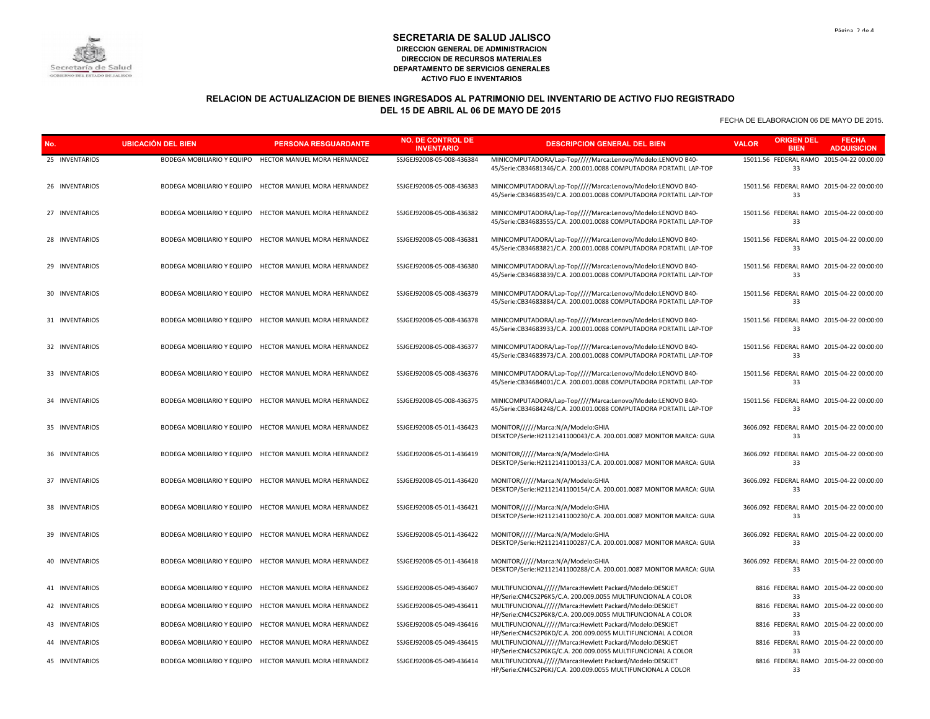

### **RELACION DE ACTUALIZACION DE BIENES INGRESADOS AL PATRIMONIO DEL INVENTARIO DE ACTIVO FIJO REGISTRADO DEL 15 DE ABRIL AL 06 DE MAYO DE 2015**

| No.            | <b>UBICACIÓN DEL BIEN</b>  | <b>PERSONA RESGUARDANTE</b>                             | <b>NO. DE CONTROL DE</b><br><b>INVENTARIO</b> | <b>DESCRIPCION GENERAL DEL BIEN</b>                                                                                               | <b>ORIGEN DEL</b><br><b>VALOR</b><br><b>BIEN</b> | <b>FECHA</b><br><b>ADQUISICION</b> |
|----------------|----------------------------|---------------------------------------------------------|-----------------------------------------------|-----------------------------------------------------------------------------------------------------------------------------------|--------------------------------------------------|------------------------------------|
| 25 INVENTARIOS |                            | BODEGA MOBILIARIO Y EQUIPO HECTOR MANUEL MORA HERNANDEZ | SSJGEJ92008-05-008-436384                     | MINICOMPUTADORA/Lap-Top////Marca:Lenovo/Modelo:LENOVO B40-<br>45/Serie:CB34681346/C.A. 200.001.0088 COMPUTADORA PORTATIL LAP-TOP  | 15011.56 FEDERAL RAMO 2015-04-22 00:00:00<br>33  |                                    |
| 26 INVENTARIOS |                            | BODEGA MOBILIARIO Y EQUIPO HECTOR MANUEL MORA HERNANDEZ | SSJGEJ92008-05-008-436383                     | MINICOMPUTADORA/Lap-Top/////Marca:Lenovo/Modelo:LENOVO B40-<br>45/Serie:CB34683549/C.A. 200.001.0088 COMPUTADORA PORTATIL LAP-TOP | 15011.56 FEDERAL RAMO 2015-04-22 00:00:00<br>33  |                                    |
| 27 INVENTARIOS |                            | BODEGA MOBILIARIO Y EQUIPO HECTOR MANUEL MORA HERNANDEZ | SSJGEJ92008-05-008-436382                     | MINICOMPUTADORA/Lap-Top/////Marca:Lenovo/Modelo:LENOVO B40-<br>45/Serie:CB34683555/C.A. 200.001.0088 COMPUTADORA PORTATIL LAP-TOP | 15011.56 FEDERAL RAMO 2015-04-22 00:00:00<br>33  |                                    |
| 28 INVENTARIOS |                            | BODEGA MOBILIARIO Y EQUIPO HECTOR MANUEL MORA HERNANDEZ | SSJGEJ92008-05-008-436381                     | MINICOMPUTADORA/Lap-Top////Marca:Lenovo/Modelo:LENOVO B40-<br>45/Serie:CB34683821/C.A. 200.001.0088 COMPUTADORA PORTATIL LAP-TOP  | 15011.56 FEDERAL RAMO 2015-04-22 00:00:00<br>33  |                                    |
| 29 INVENTARIOS |                            | BODEGA MOBILIARIO Y EQUIPO HECTOR MANUEL MORA HERNANDEZ | SSJGEJ92008-05-008-436380                     | MINICOMPUTADORA/Lap-Top////Marca:Lenovo/Modelo:LENOVO B40-<br>45/Serie:CB34683839/C.A. 200.001.0088 COMPUTADORA PORTATIL LAP-TOP  | 15011.56 FEDERAL RAMO 2015-04-22 00:00:00<br>33  |                                    |
| 30 INVENTARIOS |                            | BODEGA MOBILIARIO Y EQUIPO HECTOR MANUEL MORA HERNANDEZ | SSJGEJ92008-05-008-436379                     | MINICOMPUTADORA/Lap-Top////Marca:Lenovo/Modelo:LENOVO B40-<br>45/Serie:CB34683884/C.A. 200.001.0088 COMPUTADORA PORTATIL LAP-TOP  | 15011.56 FEDERAL RAMO 2015-04-22 00:00:00<br>33  |                                    |
| 31 INVENTARIOS |                            | BODEGA MOBILIARIO Y EQUIPO HECTOR MANUEL MORA HERNANDEZ | SSJGEJ92008-05-008-436378                     | MINICOMPUTADORA/Lap-Top/////Marca:Lenovo/Modelo:LENOVO B40-<br>45/Serie:CB34683933/C.A. 200.001.0088 COMPUTADORA PORTATIL LAP-TOP | 15011.56 FEDERAL RAMO 2015-04-22 00:00:00<br>33  |                                    |
| 32 INVENTARIOS |                            | BODEGA MOBILIARIO Y EQUIPO HECTOR MANUEL MORA HERNANDEZ | SSJGEJ92008-05-008-436377                     | MINICOMPUTADORA/Lap-Top////Marca:Lenovo/Modelo:LENOVO B40-<br>45/Serie:CB34683973/C.A. 200.001.0088 COMPUTADORA PORTATIL LAP-TOP  | 15011.56 FEDERAL RAMO 2015-04-22 00:00:00<br>33  |                                    |
| 33 INVENTARIOS |                            | BODEGA MOBILIARIO Y EQUIPO HECTOR MANUEL MORA HERNANDEZ | SSJGEJ92008-05-008-436376                     | MINICOMPUTADORA/Lap-Top/////Marca:Lenovo/Modelo:LENOVO B40-<br>45/Serie:CB34684001/C.A. 200.001.0088 COMPUTADORA PORTATIL LAP-TOP | 15011.56 FEDERAL RAMO 2015-04-22 00:00:00<br>33  |                                    |
| 34 INVENTARIOS |                            | BODEGA MOBILIARIO Y EQUIPO HECTOR MANUEL MORA HERNANDEZ | SSJGEJ92008-05-008-436375                     | MINICOMPUTADORA/Lap-Top////Marca:Lenovo/Modelo:LENOVO B40-<br>45/Serie:CB34684248/C.A. 200.001.0088 COMPUTADORA PORTATIL LAP-TOP  | 15011.56 FEDERAL RAMO 2015-04-22 00:00:00<br>33  |                                    |
| 35 INVENTARIOS |                            | BODEGA MOBILIARIO Y EQUIPO HECTOR MANUEL MORA HERNANDEZ | SSJGEJ92008-05-011-436423                     | MONITOR/////Marca:N/A/Modelo:GHIA<br>DESKTOP/Serie:H2112141100043/C.A. 200.001.0087 MONITOR MARCA: GUIA                           | 3606.092 FEDERAL RAMO 2015-04-22 00:00:00<br>33  |                                    |
| 36 INVENTARIOS |                            | BODEGA MOBILIARIO Y EQUIPO HECTOR MANUEL MORA HERNANDEZ | SSJGEJ92008-05-011-436419                     | MONITOR/////Marca:N/A/Modelo:GHIA<br>DESKTOP/Serie:H2112141100133/C.A. 200.001.0087 MONITOR MARCA: GUIA                           | 3606.092 FEDERAL RAMO 2015-04-22 00:00:00<br>33  |                                    |
| 37 INVENTARIOS |                            | BODEGA MOBILIARIO Y EQUIPO HECTOR MANUEL MORA HERNANDEZ | SSJGEJ92008-05-011-436420                     | MONITOR/////Marca:N/A/Modelo:GHIA<br>DESKTOP/Serie:H2112141100154/C.A. 200.001.0087 MONITOR MARCA: GUIA                           | 3606.092 FEDERAL RAMO 2015-04-22 00:00:00<br>33  |                                    |
| 38 INVENTARIOS |                            | BODEGA MOBILIARIO Y EQUIPO HECTOR MANUEL MORA HERNANDEZ | SSJGEJ92008-05-011-436421                     | MONITOR/////Marca:N/A/Modelo:GHIA<br>DESKTOP/Serie:H2112141100230/C.A. 200.001.0087 MONITOR MARCA: GUIA                           | 3606.092 FEDERAL RAMO 2015-04-22 00:00:00<br>33  |                                    |
| 39 INVENTARIOS |                            | BODEGA MOBILIARIO Y EQUIPO HECTOR MANUEL MORA HERNANDEZ | SSJGEJ92008-05-011-436422                     | MONITOR/////Marca:N/A/Modelo:GHIA<br>DESKTOP/Serie:H2112141100287/C.A. 200.001.0087 MONITOR MARCA: GUIA                           | 3606.092 FEDERAL RAMO 2015-04-22 00:00:00<br>33  |                                    |
| 40 INVENTARIOS |                            | BODEGA MOBILIARIO Y EQUIPO HECTOR MANUEL MORA HERNANDEZ | SSJGEJ92008-05-011-436418                     | MONITOR/////Marca:N/A/Modelo:GHIA<br>DESKTOP/Serie:H2112141100288/C.A. 200.001.0087 MONITOR MARCA: GUIA                           | 3606.092 FEDERAL RAMO 2015-04-22 00:00:00<br>33  |                                    |
| 41 INVENTARIOS |                            | BODEGA MOBILIARIO Y EQUIPO HECTOR MANUEL MORA HERNANDEZ | SSJGEJ92008-05-049-436407                     | MULTIFUNCIONAL/////Marca:Hewlett Packard/Modelo:DESKJET<br>HP/Serie:CN4CS2P6K5/C.A. 200.009.0055 MULTIFUNCIONAL A COLOR           | 8816 FEDERAL RAMO 2015-04-22 00:00:00<br>33      |                                    |
| 42 INVENTARIOS |                            | BODEGA MOBILIARIO Y EQUIPO HECTOR MANUEL MORA HERNANDEZ | SSJGEJ92008-05-049-436411                     | MULTIFUNCIONAL//////Marca:Hewlett Packard/Modelo:DESKJET<br>HP/Serie:CN4CS2P6K8/C.A. 200.009.0055 MULTIFUNCIONAL A COLOR          | 8816 FEDERAL RAMO 2015-04-22 00:00:00<br>33      |                                    |
| 43 INVENTARIOS | BODEGA MOBILIARIO Y EQUIPO | HECTOR MANUEL MORA HERNANDEZ                            | SSJGEJ92008-05-049-436416                     | MULTIFUNCIONAL//////Marca:Hewlett Packard/Modelo:DESKJET<br>HP/Serie:CN4CS2P6KD/C.A. 200.009.0055 MULTIFUNCIONAL A COLOR          | 8816 FEDERAL RAMO 2015-04-22 00:00:00<br>33      |                                    |
| 44 INVENTARIOS |                            | BODEGA MOBILIARIO Y EQUIPO HECTOR MANUEL MORA HERNANDEZ | SSJGEJ92008-05-049-436415                     | MULTIFUNCIONAL//////Marca:Hewlett Packard/Modelo:DESKJET<br>HP/Serie:CN4CS2P6KG/C.A. 200.009.0055 MULTIFUNCIONAL A COLOR          | 8816 FEDERAL RAMO 2015-04-22 00:00:00<br>33      |                                    |
| 45 INVENTARIOS |                            | BODEGA MOBILIARIO Y EQUIPO HECTOR MANUEL MORA HERNANDEZ | SSJGEJ92008-05-049-436414                     | MULTIFUNCIONAL//////Marca:Hewlett Packard/Modelo:DESKJET<br>HP/Serie:CN4CS2P6KJ/C.A. 200.009.0055 MULTIFUNCIONAL A COLOR          | 8816 FEDERAL RAMO 2015-04-22 00:00:00<br>33      |                                    |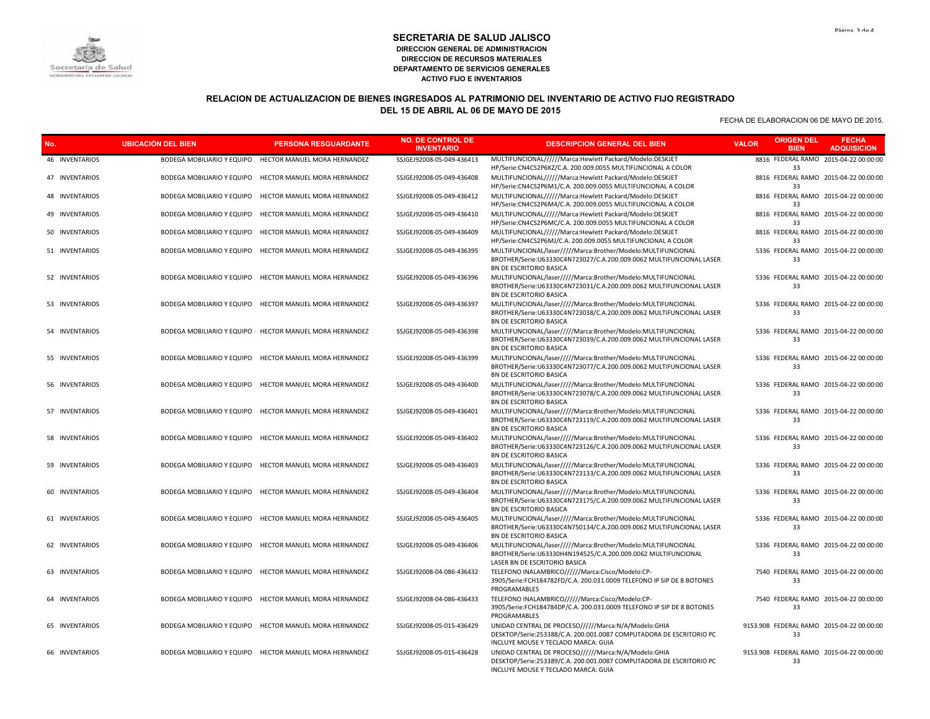

# **RELACION DE ACTUALIZACION DE BIENES INGRESADOS AL PATRIMONIO DEL INVENTARIO DE ACTIVO FIJO REGISTRADO DEL 15 DE ABRIL AL 06 DE MAYO DE 2015**

| No.            | <b>UBICACIÓN DEL BIEN</b> | <b>PERSONA RESGUARDANTE</b>                             | <b>NO. DE CONTROL DE</b><br><b>INVENTARIO</b> | <b>DESCRIPCION GENERAL DEL BIEN</b>                                                                                                                                   | <b>ORIGEN DEL</b><br><b>VALOR</b><br><b>BIEN</b> | <b>FECHA</b><br><b>ADQUISICION</b>    |
|----------------|---------------------------|---------------------------------------------------------|-----------------------------------------------|-----------------------------------------------------------------------------------------------------------------------------------------------------------------------|--------------------------------------------------|---------------------------------------|
| 46 INVENTARIOS |                           | BODEGA MOBILIARIO Y EQUIPO HECTOR MANUEL MORA HERNANDEZ | SSJGEJ92008-05-049-436413                     | MULTIFUNCIONAL//////Marca:Hewlett Packard/Modelo:DESKJET<br>HP/Serie:CN4CS2P6KZ/C.A. 200.009.0055 MULTIFUNCIONAL A COLOR                                              | 33                                               | 8816 FEDERAL RAMO 2015-04-22 00:00:00 |
| 47 INVENTARIOS |                           | BODEGA MOBILIARIO Y EQUIPO HECTOR MANUEL MORA HERNANDEZ | SSJGEJ92008-05-049-436408                     | MULTIFUNCIONAL//////Marca:Hewlett Packard/Modelo:DESKJET<br>HP/Serie:CN4CS2P6M1/C.A. 200.009.0055 MULTIFUNCIONAL A COLOR                                              | 33                                               | 8816 FEDERAL RAMO 2015-04-22 00:00:00 |
| 48 INVENTARIOS |                           | BODEGA MOBILIARIO Y EQUIPO HECTOR MANUEL MORA HERNANDEZ | SSJGEJ92008-05-049-436412                     | MULTIFUNCIONAL//////Marca:Hewlett Packard/Modelo:DESKJET<br>HP/Serie:CN4CS2P6M4/C.A. 200.009.0055 MULTIFUNCIONAL A COLOR                                              | 33                                               | 8816 FEDERAL RAMO 2015-04-22 00:00:00 |
| 49 INVENTARIOS |                           | BODEGA MOBILIARIO Y EQUIPO HECTOR MANUEL MORA HERNANDEZ | SSJGEJ92008-05-049-436410                     | MULTIFUNCIONAL//////Marca:Hewlett Packard/Modelo:DESKJET<br>HP/Serie:CN4CS2P6MC/C.A. 200.009.0055 MULTIFUNCIONAL A COLOR                                              | 33                                               | 8816 FEDERAL RAMO 2015-04-22 00:00:00 |
| 50 INVENTARIOS |                           | BODEGA MOBILIARIO Y EQUIPO HECTOR MANUEL MORA HERNANDEZ | SSJGEJ92008-05-049-436409                     | MULTIFUNCIONAL/////Marca:Hewlett Packard/Modelo:DESKJET<br>HP/Serie:CN4CS2P6MJ/C.A. 200.009.0055 MULTIFUNCIONAL A COLOR                                               | 33                                               | 8816 FEDERAL RAMO 2015-04-22 00:00:00 |
| 51 INVENTARIOS |                           | BODEGA MOBILIARIO Y EQUIPO HECTOR MANUEL MORA HERNANDEZ | SSJGEJ92008-05-049-436395                     | MULTIFUNCIONAL/laser/////Marca:Brother/Modelo:MULTIFUNCIONAL<br>BROTHER/Serie:U63330C4N723027/C.A.200.009.0062 MULTIFUNCIONAL LASER<br>BN DE ESCRITORIO BASICA        | 33                                               | 5336 FEDERAL RAMO 2015-04-22 00:00:00 |
| 52 INVENTARIOS |                           | BODEGA MOBILIARIO Y EQUIPO HECTOR MANUEL MORA HERNANDEZ | SSJGEJ92008-05-049-436396                     | MULTIFUNCIONAL/laser/////Marca:Brother/Modelo:MULTIFUNCIONAL<br>BROTHER/Serie:U63330C4N723031/C.A.200.009.0062 MULTIFUNCIONAL LASER<br>BN DE ESCRITORIO BASICA        | 33                                               | 5336 FEDERAL RAMO 2015-04-22 00:00:00 |
| 53 INVENTARIOS |                           | BODEGA MOBILIARIO Y EQUIPO HECTOR MANUEL MORA HERNANDEZ | SSJGEJ92008-05-049-436397                     | MULTIFUNCIONAL/laser/////Marca:Brother/Modelo:MULTIFUNCIONAL<br>BROTHER/Serie:U63330C4N723038/C.A.200.009.0062 MULTIFUNCIONAL LASER<br>BN DE ESCRITORIO BASICA        | 33                                               | 5336 FEDERAL RAMO 2015-04-22 00:00:00 |
| 54 INVENTARIOS |                           | BODEGA MOBILIARIO Y EQUIPO HECTOR MANUEL MORA HERNANDEZ | SSJGEJ92008-05-049-436398                     | MULTIFUNCIONAL/laser/////Marca:Brother/Modelo:MULTIFUNCIONAL<br>BROTHER/Serie:U63330C4N723039/C.A.200.009.0062 MULTIFUNCIONAL LASER<br>BN DE ESCRITORIO BASICA        | 33                                               | 5336 FEDERAL RAMO 2015-04-22 00:00:00 |
| 55 INVENTARIOS |                           | BODEGA MOBILIARIO Y EQUIPO HECTOR MANUEL MORA HERNANDEZ | SSJGEJ92008-05-049-436399                     | MULTIFUNCIONAL/laser/////Marca:Brother/Modelo:MULTIFUNCIONAL<br>BROTHER/Serie:U63330C4N723077/C.A.200.009.0062 MULTIFUNCIONAL LASER<br>BN DE ESCRITORIO BASICA        | 33                                               | 5336 FEDERAL RAMO 2015-04-22 00:00:00 |
| 56 INVENTARIOS |                           | BODEGA MOBILIARIO Y EQUIPO HECTOR MANUEL MORA HERNANDEZ | SSJGEJ92008-05-049-436400                     | MULTIFUNCIONAL/laser/////Marca:Brother/Modelo:MULTIFUNCIONAL<br>BROTHER/Serie:U63330C4N723078/C.A.200.009.0062 MULTIFUNCIONAL LASER<br><b>BN DE ESCRITORIO BASICA</b> | 33                                               | 5336 FEDERAL RAMO 2015-04-22 00:00:00 |
| 57 INVENTARIOS |                           | BODEGA MOBILIARIO Y EQUIPO HECTOR MANUEL MORA HERNANDEZ | SSJGEJ92008-05-049-436401                     | MULTIFUNCIONAL/laser/////Marca:Brother/Modelo:MULTIFUNCIONAL<br>BROTHER/Serie:U63330C4N723119/C.A.200.009.0062 MULTIFUNCIONAL LASER<br>BN DE ESCRITORIO BASICA        | 33                                               | 5336 FEDERAL RAMO 2015-04-22 00:00:00 |
| 58 INVENTARIOS |                           | BODEGA MOBILIARIO Y EQUIPO HECTOR MANUEL MORA HERNANDEZ | SSJGEJ92008-05-049-436402                     | MULTIFUNCIONAL/laser/////Marca:Brother/Modelo:MULTIFUNCIONAL<br>BROTHER/Serie:U63330C4N723126/C.A.200.009.0062 MULTIFUNCIONAL LASER<br>BN DE ESCRITORIO BASICA        | 33                                               | 5336 FEDERAL RAMO 2015-04-22 00:00:00 |
| 59 INVENTARIOS |                           | BODEGA MOBILIARIO Y EQUIPO HECTOR MANUEL MORA HERNANDEZ | SSJGEJ92008-05-049-436403                     | MULTIFUNCIONAL/laser/////Marca:Brother/Modelo:MULTIFUNCIONAL<br>BROTHER/Serie:U63330C4N723133/C.A.200.009.0062 MULTIFUNCIONAL LASER<br>BN DE ESCRITORIO BASICA        | 33                                               | 5336 FEDERAL RAMO 2015-04-22 00:00:00 |
| 60 INVENTARIOS |                           | BODEGA MOBILIARIO Y EQUIPO HECTOR MANUEL MORA HERNANDEZ | SSJGEJ92008-05-049-436404                     | MULTIFUNCIONAL/laser/////Marca:Brother/Modelo:MULTIFUNCIONAL<br>BROTHER/Serie:U63330C4N723175/C.A.200.009.0062 MULTIFUNCIONAL LASER<br>BN DE ESCRITORIO BASICA        | 33                                               | 5336 FEDERAL RAMO 2015-04-22 00:00:00 |
| 61 INVENTARIOS |                           | BODEGA MOBILIARIO Y EQUIPO HECTOR MANUEL MORA HERNANDEZ | SSJGEJ92008-05-049-436405                     | MULTIFUNCIONAL/laser/////Marca:Brother/Modelo:MULTIFUNCIONAL<br>BROTHER/Serie:U63330C4N750134/C.A.200.009.0062 MULTIFUNCIONAL LASER<br>BN DE ESCRITORIO BASICA        | 33                                               | 5336 FEDERAL RAMO 2015-04-22 00:00:00 |
| 62 INVENTARIOS |                           | BODEGA MOBILIARIO Y EQUIPO HECTOR MANUEL MORA HERNANDEZ | SSJGEJ92008-05-049-436406                     | MULTIFUNCIONAL/laser/////Marca:Brother/Modelo:MULTIFUNCIONAL<br>BROTHER/Serie:U63330H4N194525/C.A.200.009.0062 MULTIFUNCIONAL<br>LASER BN DE ESCRITORIO BASICA        | 33                                               | 5336 FEDERAL RAMO 2015-04-22 00:00:00 |
| 63 INVENTARIOS |                           | BODEGA MOBILIARIO Y EQUIPO HECTOR MANUEL MORA HERNANDEZ | SSJGEJ92008-04-086-436432                     | TELEFONO INALAMBRICO/////Marca:Cisco/Modelo:CP-<br>3905/Serie:FCH184782FD/C.A. 200.031.0009 TELEFONO IP SIP DE 8 BOTONES<br>PROGRAMABLES                              | 33                                               | 7540 FEDERAL RAMO 2015-04-22 00:00:00 |
| 64 INVENTARIOS |                           | BODEGA MOBILIARIO Y EQUIPO HECTOR MANUEL MORA HERNANDEZ | SSJGEJ92008-04-086-436433                     | TELEFONO INALAMBRICO/////Marca:Cisco/Modelo:CP-<br>3905/Serie:FCH184784DP/C.A. 200.031.0009 TELEFONO IP SIP DE 8 BOTONES<br>PROGRAMABLES                              | 33                                               | 7540 FEDERAL RAMO 2015-04-22 00:00:00 |
| 65 INVENTARIOS |                           | BODEGA MOBILIARIO Y EQUIPO HECTOR MANUEL MORA HERNANDEZ | SSJGEJ92008-05-015-436429                     | UNIDAD CENTRAL DE PROCESO//////Marca:N/A/Modelo:GHIA<br>DESKTOP/Serie:253388/C.A. 200.001.0087 COMPUTADORA DE ESCRITORIO PC<br>INCLUYE MOUSE Y TECLADO MARCA: GUIA    | 9153.908 FEDERAL RAMO 2015-04-22 00:00:00<br>33  |                                       |
| 66 INVENTARIOS |                           | BODEGA MOBILIARIO Y EQUIPO HECTOR MANUEL MORA HERNANDEZ | SSJGEJ92008-05-015-436428                     | UNIDAD CENTRAL DE PROCESO//////Marca:N/A/Modelo:GHIA<br>DESKTOP/Serie:253389/C.A. 200.001.0087 COMPUTADORA DE ESCRITORIO PC<br>INCLUYE MOUSE Y TECLADO MARCA: GUIA    | 9153.908 FEDERAL RAMO 2015-04-22 00:00:00<br>33  |                                       |